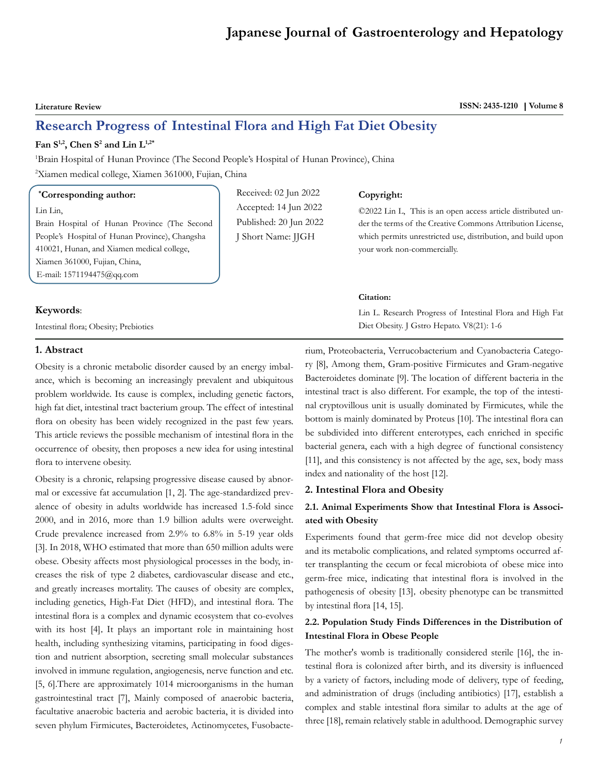# **Japanese Journal of Gastroenterology and Hepatology**

**Literature Review ISSN: 2435-1210 Volume 8**

# **Research Progress of Intestinal Flora and High Fat Diet Obesity**

#### **Fan S1,2, Chen S2 and Lin L1,2\***

<sup>1</sup>Brain Hospital of Hunan Province (The Second People's Hospital of Hunan Province), China 2 Xiamen medical college, Xiamen 361000, Fujian, China

#### **\* Corresponding author:**

Lin Lin,

Brain Hospital of Hunan Province (The Second People's Hospital of Hunan Province), Changsha 410021, Hunan, and Xiamen medical college, Xiamen 361000, Fujian, China, E-mail: 1571194475@qq.com

#### **Keywords**:

Intestinal flora; Obesity; Prebiotics

# Received: 02 Jun 2022 Accepted: 14 Jun 2022 Published: 20 Jun 2022 J Short Name: JJGH

# **Copyright:**

©2022 Lin L, This is an open access article distributed under the terms of the Creative Commons Attribution License, which permits unrestricted use, distribution, and build upon your work non-commercially.

#### **Citation:**

Lin L. Research Progress of Intestinal Flora and High Fat Diet Obesity. J Gstro Hepato. V8(21): 1-6

#### **1. Abstract**

Obesity is a chronic metabolic disorder caused by an energy imbalance, which is becoming an increasingly prevalent and ubiquitous problem worldwide. Its cause is complex, including genetic factors, high fat diet, intestinal tract bacterium group. The effect of intestinal flora on obesity has been widely recognized in the past few years. This article reviews the possible mechanism of intestinal flora in the occurrence of obesity, then proposes a new idea for using intestinal flora to intervene obesity.

Obesity is a chronic, relapsing progressive disease caused by abnormal or excessive fat accumulation [1, 2]. The age-standardized prevalence of obesity in adults worldwide has increased 1.5-fold since 2000, and in 2016, more than 1.9 billion adults were overweight. Crude prevalence increased from 2.9% to 6.8% in 5-19 year olds [3]. In 2018, WHO estimated that more than 650 million adults were obese. Obesity affects most physiological processes in the body, increases the risk of type 2 diabetes, cardiovascular disease and etc., and greatly increases mortality. The causes of obesity are complex, including genetics, High-Fat Diet (HFD), and intestinal flora. The intestinal flora is a complex and dynamic ecosystem that co-evolves with its host [4], It plays an important role in maintaining host health, including synthesizing vitamins, participating in food digestion and nutrient absorption, secreting small molecular substances involved in immune regulation, angiogenesis, nerve function and etc. [5, 6].There are approximately 1014 microorganisms in the human gastrointestinal tract [7], Mainly composed of anaerobic bacteria, facultative anaerobic bacteria and aerobic bacteria, it is divided into seven phylum Firmicutes, Bacteroidetes, Actinomycetes, Fusobacterium, Proteobacteria, Verrucobacterium and Cyanobacteria Category [8], Among them, Gram-positive Firmicutes and Gram-negative Bacteroidetes dominate [9]. The location of different bacteria in the intestinal tract is also different. For example, the top of the intestinal cryptovillous unit is usually dominated by Firmicutes, while the bottom is mainly dominated by Proteus [10]. The intestinal flora can be subdivided into different enterotypes, each enriched in specific bacterial genera, each with a high degree of functional consistency [11], and this consistency is not affected by the age, sex, body mass index and nationality of the host [12].

#### **2. Intestinal Flora and Obesity**

## **2.1. Animal Experiments Show that Intestinal Flora is Associated with Obesity**

Experiments found that germ-free mice did not develop obesity and its metabolic complications, and related symptoms occurred after transplanting the cecum or fecal microbiota of obese mice into germ-free mice, indicating that intestinal flora is involved in the pathogenesis of obesity [13], obesity phenotype can be transmitted by intestinal flora [14, 15].

# **2.2. Population Study Finds Differences in the Distribution of Intestinal Flora in Obese People**

The mother's womb is traditionally considered sterile [16], the intestinal flora is colonized after birth, and its diversity is influenced by a variety of factors, including mode of delivery, type of feeding, and administration of drugs (including antibiotics) [17], establish a complex and stable intestinal flora similar to adults at the age of three [18], remain relatively stable in adulthood. Demographic survey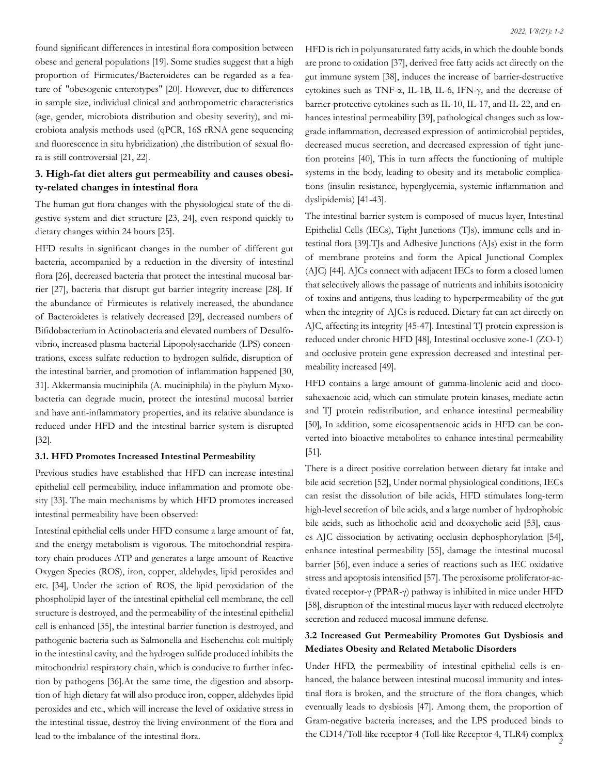found significant differences in intestinal flora composition between obese and general populations [19]. Some studies suggest that a high proportion of Firmicutes/Bacteroidetes can be regarded as a feature of "obesogenic enterotypes" [20]. However, due to differences in sample size, individual clinical and anthropometric characteristics (age, gender, microbiota distribution and obesity severity), and microbiota analysis methods used (qPCR, 16S rRNA gene sequencing and fluorescence in situ hybridization) ,the distribution of sexual flora is still controversial [21, 22].

# **3. High-fat diet alters gut permeability and causes obesity-related changes in intestinal flora**

The human gut flora changes with the physiological state of the digestive system and diet structure [23, 24], even respond quickly to dietary changes within 24 hours [25].

HFD results in significant changes in the number of different gut bacteria, accompanied by a reduction in the diversity of intestinal flora [26], decreased bacteria that protect the intestinal mucosal barrier [27], bacteria that disrupt gut barrier integrity increase [28]. If the abundance of Firmicutes is relatively increased, the abundance of Bacteroidetes is relatively decreased [29], decreased numbers of Bifidobacterium in Actinobacteria and elevated numbers of Desulfovibrio, increased plasma bacterial Lipopolysaccharide (LPS) concentrations, excess sulfate reduction to hydrogen sulfide, disruption of the intestinal barrier, and promotion of inflammation happened [30, 31]. Akkermansia muciniphila (A. muciniphila) in the phylum Myxobacteria can degrade mucin, protect the intestinal mucosal barrier and have anti-inflammatory properties, and its relative abundance is reduced under HFD and the intestinal barrier system is disrupted [32].

#### **3.1. HFD Promotes Increased Intestinal Permeability**

Previous studies have established that HFD can increase intestinal epithelial cell permeability, induce inflammation and promote obesity [33]. The main mechanisms by which HFD promotes increased intestinal permeability have been observed:

Intestinal epithelial cells under HFD consume a large amount of fat, and the energy metabolism is vigorous. The mitochondrial respiratory chain produces ATP and generates a large amount of Reactive Oxygen Species (ROS), iron, copper, aldehydes, lipid peroxides and etc. [34], Under the action of ROS, the lipid peroxidation of the phospholipid layer of the intestinal epithelial cell membrane, the cell structure is destroyed, and the permeability of the intestinal epithelial cell is enhanced [35], the intestinal barrier function is destroyed, and pathogenic bacteria such as Salmonella and Escherichia coli multiply in the intestinal cavity, and the hydrogen sulfide produced inhibits the mitochondrial respiratory chain, which is conducive to further infection by pathogens [36].At the same time, the digestion and absorption of high dietary fat will also produce iron, copper, aldehydes lipid peroxides and etc., which will increase the level of oxidative stress in the intestinal tissue, destroy the living environment of the flora and lead to the imbalance of the intestinal flora.

HFD is rich in polyunsaturated fatty acids, in which the double bonds are prone to oxidation [37], derived free fatty acids act directly on the gut immune system [38], induces the increase of barrier-destructive cytokines such as TNF-α, IL-1B, IL-6, IFN-γ, and the decrease of barrier-protective cytokines such as IL-10, IL-17, and IL-22, and enhances intestinal permeability [39], pathological changes such as lowgrade inflammation, decreased expression of antimicrobial peptides, decreased mucus secretion, and decreased expression of tight junction proteins [40], This in turn affects the functioning of multiple systems in the body, leading to obesity and its metabolic complications (insulin resistance, hyperglycemia, systemic inflammation and dyslipidemia) [41-43].

The intestinal barrier system is composed of mucus layer, Intestinal Epithelial Cells (IECs), Tight Junctions (TJs), immune cells and intestinal flora [39].TJs and Adhesive Junctions (AJs) exist in the form of membrane proteins and form the Apical Junctional Complex (AJC) [44]. AJCs connect with adjacent IECs to form a closed lumen that selectively allows the passage of nutrients and inhibits isotonicity of toxins and antigens, thus leading to hyperpermeability of the gut when the integrity of AJCs is reduced. Dietary fat can act directly on AJC, affecting its integrity [45-47]. Intestinal TJ protein expression is reduced under chronic HFD [48], Intestinal occlusive zone-1 (ZO-1) and occlusive protein gene expression decreased and intestinal permeability increased [49].

HFD contains a large amount of gamma-linolenic acid and docosahexaenoic acid, which can stimulate protein kinases, mediate actin and TJ protein redistribution, and enhance intestinal permeability [50], In addition, some eicosapentaenoic acids in HFD can be converted into bioactive metabolites to enhance intestinal permeability [51].

There is a direct positive correlation between dietary fat intake and bile acid secretion [52], Under normal physiological conditions, IECs can resist the dissolution of bile acids, HFD stimulates long-term high-level secretion of bile acids, and a large number of hydrophobic bile acids, such as lithocholic acid and deoxycholic acid [53], causes AJC dissociation by activating occlusin dephosphorylation [54], enhance intestinal permeability [55], damage the intestinal mucosal barrier [56], even induce a series of reactions such as IEC oxidative stress and apoptosis intensified [57]. The peroxisome proliferator-activated receptor-γ (PPAR-γ) pathway is inhibited in mice under HFD [58], disruption of the intestinal mucus layer with reduced electrolyte secretion and reduced mucosal immune defense.

# **3.2 Increased Gut Permeability Promotes Gut Dysbiosis and Mediates Obesity and Related Metabolic Disorders**

 *2* the CD14/Toll-like receptor 4 (Toll-like Receptor 4, TLR4) complex Under HFD, the permeability of intestinal epithelial cells is enhanced, the balance between intestinal mucosal immunity and intestinal flora is broken, and the structure of the flora changes, which eventually leads to dysbiosis [47]. Among them, the proportion of Gram-negative bacteria increases, and the LPS produced binds to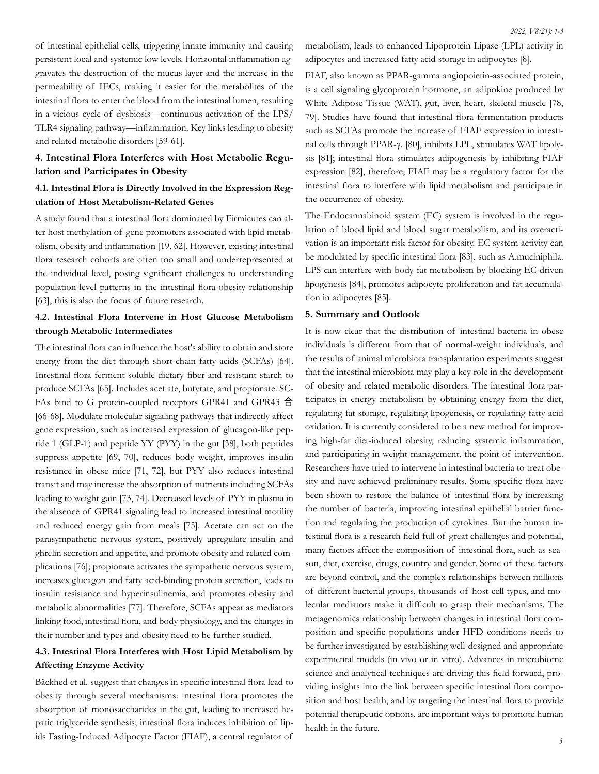of intestinal epithelial cells, triggering innate immunity and causing persistent local and systemic low levels. Horizontal inflammation aggravates the destruction of the mucus layer and the increase in the permeability of IECs, making it easier for the metabolites of the intestinal flora to enter the blood from the intestinal lumen, resulting in a vicious cycle of dysbiosis—continuous activation of the LPS/ TLR4 signaling pathway—inflammation. Key links leading to obesity and related metabolic disorders [59-61].

# **4. Intestinal Flora Interferes with Host Metabolic Regulation and Participates in Obesity**

# **4.1. Intestinal Flora is Directly Involved in the Expression Regulation of Host Metabolism-Related Genes**

A study found that a intestinal flora dominated by Firmicutes can alter host methylation of gene promoters associated with lipid metabolism, obesity and inflammation [19, 62]. However, existing intestinal flora research cohorts are often too small and underrepresented at the individual level, posing significant challenges to understanding population-level patterns in the intestinal flora-obesity relationship [63], this is also the focus of future research.

# **4.2. Intestinal Flora Intervene in Host Glucose Metabolism through Metabolic Intermediates**

The intestinal flora can influence the host's ability to obtain and store energy from the diet through short-chain fatty acids (SCFAs) [64]. Intestinal flora ferment soluble dietary fiber and resistant starch to produce SCFAs [65]. Includes acet ate, butyrate, and propionate. SC-FAs bind to G protein-coupled receptors GPR41 and GPR43 合 [66-68]. Modulate molecular signaling pathways that indirectly affect gene expression, such as increased expression of glucagon-like peptide 1 (GLP-1) and peptide YY (PYY) in the gut [38], both peptides suppress appetite [69, 70], reduces body weight, improves insulin resistance in obese mice [71, 72], but PYY also reduces intestinal transit and may increase the absorption of nutrients including SCFAs leading to weight gain [73, 74]. Decreased levels of PYY in plasma in the absence of GPR41 signaling lead to increased intestinal motility and reduced energy gain from meals [75]. Acetate can act on the parasympathetic nervous system, positively upregulate insulin and ghrelin secretion and appetite, and promote obesity and related complications [76]; propionate activates the sympathetic nervous system, increases glucagon and fatty acid-binding protein secretion, leads to insulin resistance and hyperinsulinemia, and promotes obesity and metabolic abnormalities [77]. Therefore, SCFAs appear as mediators linking food, intestinal flora, and body physiology, and the changes in their number and types and obesity need to be further studied.

# **4.3. Intestinal Flora Interferes with Host Lipid Metabolism by Affecting Enzyme Activity**

Bäckhed et al. suggest that changes in specific intestinal flora lead to obesity through several mechanisms: intestinal flora promotes the absorption of monosaccharides in the gut, leading to increased hepatic triglyceride synthesis; intestinal flora induces inhibition of lipids Fasting-Induced Adipocyte Factor (FIAF), a central regulator of

metabolism, leads to enhanced Lipoprotein Lipase (LPL) activity in adipocytes and increased fatty acid storage in adipocytes [8].

FIAF, also known as PPAR-gamma angiopoietin-associated protein, is a cell signaling glycoprotein hormone, an adipokine produced by White Adipose Tissue (WAT), gut, liver, heart, skeletal muscle [78, 79]. Studies have found that intestinal flora fermentation products such as SCFAs promote the increase of FIAF expression in intestinal cells through PPAR-γ. [80], inhibits LPL, stimulates WAT lipolysis [81]; intestinal flora stimulates adipogenesis by inhibiting FIAF expression [82], therefore, FIAF may be a regulatory factor for the intestinal flora to interfere with lipid metabolism and participate in the occurrence of obesity.

The Endocannabinoid system (EC) system is involved in the regulation of blood lipid and blood sugar metabolism, and its overactivation is an important risk factor for obesity. EC system activity can be modulated by specific intestinal flora [83], such as A.muciniphila. LPS can interfere with body fat metabolism by blocking EC-driven lipogenesis [84], promotes adipocyte proliferation and fat accumulation in adipocytes [85].

#### **5. Summary and Outlook**

It is now clear that the distribution of intestinal bacteria in obese individuals is different from that of normal-weight individuals, and the results of animal microbiota transplantation experiments suggest that the intestinal microbiota may play a key role in the development of obesity and related metabolic disorders. The intestinal flora participates in energy metabolism by obtaining energy from the diet, regulating fat storage, regulating lipogenesis, or regulating fatty acid oxidation. It is currently considered to be a new method for improving high-fat diet-induced obesity, reducing systemic inflammation, and participating in weight management. the point of intervention. Researchers have tried to intervene in intestinal bacteria to treat obesity and have achieved preliminary results. Some specific flora have been shown to restore the balance of intestinal flora by increasing the number of bacteria, improving intestinal epithelial barrier function and regulating the production of cytokines. But the human intestinal flora is a research field full of great challenges and potential, many factors affect the composition of intestinal flora, such as season, diet, exercise, drugs, country and gender. Some of these factors are beyond control, and the complex relationships between millions of different bacterial groups, thousands of host cell types, and molecular mediators make it difficult to grasp their mechanisms. The metagenomics relationship between changes in intestinal flora composition and specific populations under HFD conditions needs to be further investigated by establishing well-designed and appropriate experimental models (in vivo or in vitro). Advances in microbiome science and analytical techniques are driving this field forward, providing insights into the link between specific intestinal flora composition and host health, and by targeting the intestinal flora to provide potential therapeutic options, are important ways to promote human health in the future.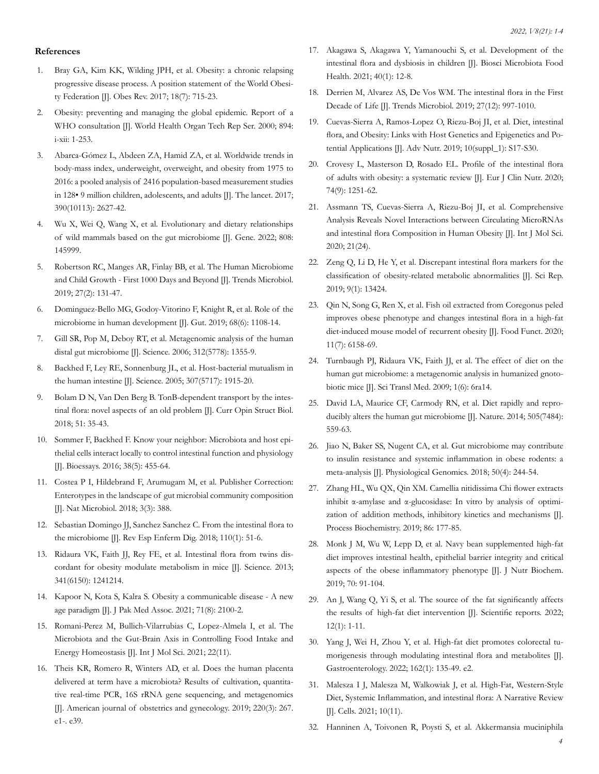#### **References**

- 1. [Bray GA, Kim KK, Wilding JPH, et al. Obesity: a chroni](https://pubmed.ncbi.nlm.nih.gov/28489290/)c relapsing [progressive disease process. A position statement of the World Obesi](https://pubmed.ncbi.nlm.nih.gov/28489290/)[ty Federation \[J\]. Obes Rev. 2017; 18\(7\): 715-23.](https://pubmed.ncbi.nlm.nih.gov/28489290/)
- 2. [Obesity: preventing and managing the global epidemic. Report of a](https://pubmed.ncbi.nlm.nih.gov/11234459/)  [WHO consultation \[J\]. World Health Organ Tech Rep Ser. 2000; 894:](https://pubmed.ncbi.nlm.nih.gov/11234459/) [i-xii: 1-253.](https://pubmed.ncbi.nlm.nih.gov/11234459/)
- 3. [Abarca-Gómez L, Abdeen ZA, Hamid ZA, et al. Worldwide trends in](https://pubmed.ncbi.nlm.nih.gov/29029897/)  [body-mass index, underweight, overweight, and obesity from 1975 to](https://pubmed.ncbi.nlm.nih.gov/29029897/) [2016: a pooled analysis of 2416 population-based measurement studies](https://pubmed.ncbi.nlm.nih.gov/29029897/) [in 128• 9 million children, adolescents, and adults \[J\]. The lancet. 2017;](https://pubmed.ncbi.nlm.nih.gov/29029897/) [390\(10113\): 2627-42.](https://pubmed.ncbi.nlm.nih.gov/29029897/)
- 4. [Wu X, Wei Q, Wang X, et al. Evolutionary and dietary relationships](https://pubmed.ncbi.nlm.nih.gov/34627942/)  [of wild mammals based on the gut microbiome \[J\]. Gene. 2022; 808:](https://pubmed.ncbi.nlm.nih.gov/34627942/) [145999.](https://pubmed.ncbi.nlm.nih.gov/34627942/)
- 5. [Robertson RC, Manges AR, Finlay BB, et al. The Human Microbiome](https://pubmed.ncbi.nlm.nih.gov/30529020/)  [and Child Growth - First 1000 Days and Beyond \[J\]. Trends Microbiol.](https://pubmed.ncbi.nlm.nih.gov/30529020/)  [2019; 27\(2\): 131-47.](https://pubmed.ncbi.nlm.nih.gov/30529020/)
- 6. [Dominguez-Bello MG, Godoy-Vitorino F, Knight R, et al. Role of the](https://pubmed.ncbi.nlm.nih.gov/30670574/) [microbiome in human development \[J\]. Gut. 2019; 68\(6\): 1108-14.](https://pubmed.ncbi.nlm.nih.gov/30670574/)
- 7. [Gill SR, Pop M, Deboy RT, et al. Metagenomic analysis of the human](https://pubmed.ncbi.nlm.nih.gov/16741115/) [distal gut microbiome \[J\]. Science. 2006; 312\(5778\): 1355-9.](https://pubmed.ncbi.nlm.nih.gov/16741115/)
- 8. [Backhed F, Ley RE, Sonnenburg JL, et al. Host-bacterial mutualism in](https://pubmed.ncbi.nlm.nih.gov/15790844/)  [the human intestine \[J\]. Science. 2005; 307\(5717\): 1915-20.](https://pubmed.ncbi.nlm.nih.gov/15790844/)
- 9. [Bolam D N, Van Den Berg B. TonB-dependent transport by the intes](https://pubmed.ncbi.nlm.nih.gov/29550504/)tinal flora: novel aspects of an old problem [J]. Curr Opin Struct Biol. [2018; 51: 35-43.](https://pubmed.ncbi.nlm.nih.gov/29550504/)
- 10. [Sommer F, Backhed F. Know your neighbor: Microbiota and host epi](https://pubmed.ncbi.nlm.nih.gov/26990415/)[thelial cells interact locally to control intestinal function and physiology](https://pubmed.ncbi.nlm.nih.gov/26990415/)  [\[J\]. Bioessays. 2016; 38\(5\): 455-64.](https://pubmed.ncbi.nlm.nih.gov/26990415/)
- 11. [Costea P I, Hildebrand F, Arumugam M, et al. Publisher Correction:](https://pubmed.ncbi.nlm.nih.gov/29440750/) [Enterotypes in the landscape of gut microbial community composition](https://pubmed.ncbi.nlm.nih.gov/29440750/)  [\[J\]. Nat Microbiol. 2018; 3\(3\): 388.](https://pubmed.ncbi.nlm.nih.gov/29440750/)
- 12. [Sebastian Domingo JJ, Sanchez Sanchez C. From the intestinal flora to](https://pubmed.ncbi.nlm.nih.gov/29271225/)  [the microbiome \[J\]. Rev Esp Enferm Dig. 2018; 110\(1\): 51-6.](https://pubmed.ncbi.nlm.nih.gov/29271225/)
- 13. [Ridaura VK, Faith JJ, Rey FE, et al. Intestinal flora from twins dis](https://pubmed.ncbi.nlm.nih.gov/24009397/)[cordant for obesity modulate metabolism in mice \[J\]. Science. 2013;](https://pubmed.ncbi.nlm.nih.gov/24009397/) [341\(6150\): 1241214.](https://pubmed.ncbi.nlm.nih.gov/24009397/)
- 14. [Kapoor N, Kota S, Kalra S. Obesity a communicable disease A new](https://pubmed.ncbi.nlm.nih.gov/34418041/) [age paradigm \[J\]. J Pak Med Assoc. 2021; 71\(8\): 2100-2.](https://pubmed.ncbi.nlm.nih.gov/34418041/)
- 15. [Romani-Perez M, Bullich-Vilarrubias C, Lopez-Almela I, et al. The](https://www.ncbi.nlm.nih.gov/pmc/articles/PMC8198395/) [Microbiota and the Gut-Brain Axis in Controlling Food Intake and](https://www.ncbi.nlm.nih.gov/pmc/articles/PMC8198395/)  [Energy Homeostasis \[J\]. Int J Mol Sci. 2021; 22\(11\).](https://www.ncbi.nlm.nih.gov/pmc/articles/PMC8198395/)
- 16. [Theis KR, Romero R, Winters AD, et al. Does the human placenta](https://pubmed.ncbi.nlm.nih.gov/30832984/) [delivered at term have a microbiota? Results of cultivation, quantita](https://pubmed.ncbi.nlm.nih.gov/30832984/)[tive real-time PCR, 16S rRNA gene sequencing, and metagenomics](https://pubmed.ncbi.nlm.nih.gov/30832984/) [\[J\]. American journal of obstetrics and gynecology. 2019; 220\(3\): 267.](https://pubmed.ncbi.nlm.nih.gov/30832984/)  [e1-. e39.](https://pubmed.ncbi.nlm.nih.gov/30832984/)
- 17. [Akagawa S, Akagawa Y, Yamanouchi S, et al. Development of the](https://pubmed.ncbi.nlm.nih.gov/33520564/) [intestinal flora and dysbiosis in children \[J\]. Biosci Microbiota Food](https://pubmed.ncbi.nlm.nih.gov/33520564/)  [Health. 2021; 40\(1\): 12-8.](https://pubmed.ncbi.nlm.nih.gov/33520564/)
- 18. [Derrien M, Alvarez AS, De Vos WM. The intestinal flora in the First](https://pubmed.ncbi.nlm.nih.gov/31474424/) [Decade of Life \[J\]. Trends Microbiol. 2019; 27\(12\): 997-1010.](https://pubmed.ncbi.nlm.nih.gov/31474424/)
- 19. [Cuevas-Sierra A, Ramos-Lopez O, Riezu-Boj JI, et al. Diet, intestinal](https://pubmed.ncbi.nlm.nih.gov/30721960/) [flora, and Obesity: Links with Host Genetics and Epigenetics and Po](https://pubmed.ncbi.nlm.nih.gov/30721960/)[tential Applications \[J\]. Adv Nutr. 2019; 10\(suppl\\_1\): S17-S30.](https://pubmed.ncbi.nlm.nih.gov/30721960/)
- 20. [Crovesy L, Masterson D, Rosado EL. Profile of the intestinal flora](https://pubmed.ncbi.nlm.nih.gov/32231226/)  [of adults with obesity: a systematic review \[J\]. Eur J Clin Nutr. 2020;](https://pubmed.ncbi.nlm.nih.gov/32231226/) [74\(9\): 1251-62.](https://pubmed.ncbi.nlm.nih.gov/32231226/)
- 21. [Assmann TS, Cuevas-Sierra A, Riezu-Boj JI, et al. Comprehensive](https://pubmed.ncbi.nlm.nih.gov/33327530/) [Analysis Reveals Novel Interactions between Circulating MicroRNAs](https://pubmed.ncbi.nlm.nih.gov/33327530/)  [and intestinal flora Composition in Human Obesity \[J\]. Int J Mol Sci.](https://pubmed.ncbi.nlm.nih.gov/33327530/) [2020; 21\(24\).](https://pubmed.ncbi.nlm.nih.gov/33327530/)
- 22. Zeng Q, Li D, He Y, et al. Discrepant intestinal flora markers for the classification of obesity-related metabolic abnormalities [J]. Sci Rep. 2019; 9(1): 13424.
- 23. [Qin N, Song G, Ren X, et al. Fish oil extracted from Coregonus peled](https://pubs.rsc.org/en/content/articlelanding/2020/fo/d0fo00911c) [improves obese phenotype and changes intestinal flora in a high-fat](https://pubs.rsc.org/en/content/articlelanding/2020/fo/d0fo00911c) [diet-induced mouse model of recurrent obesity \[J\]. Food Funct. 2020;](https://pubs.rsc.org/en/content/articlelanding/2020/fo/d0fo00911c) [11\(7\): 6158-69.](https://pubs.rsc.org/en/content/articlelanding/2020/fo/d0fo00911c)
- 24. [Turnbaugh PJ, Ridaura VK, Faith JJ, et al. The effect of diet on the](https://pubmed.ncbi.nlm.nih.gov/20368178/) [human gut microbiome: a metagenomic analysis in humanized gnoto](https://pubmed.ncbi.nlm.nih.gov/20368178/)[biotic mice \[J\]. Sci Transl Med. 2009; 1\(6\): 6ra14.](https://pubmed.ncbi.nlm.nih.gov/20368178/)
- 25. [David LA, Maurice CF, Carmody RN, et al. Diet rapidly and repro](https://pubmed.ncbi.nlm.nih.gov/24336217/)[ducibly alters the human gut microbiome \[J\]. Nature. 2014; 505\(7484\):](https://pubmed.ncbi.nlm.nih.gov/24336217/) [559-63.](https://pubmed.ncbi.nlm.nih.gov/24336217/)
- 26. [Jiao N, Baker SS, Nugent CA, et al. Gut microbiome may contribute](https://pubmed.ncbi.nlm.nih.gov/29373083/) [to insulin resistance and systemic inflammation in obese rodents: a](https://pubmed.ncbi.nlm.nih.gov/29373083/)  [meta-analysis \[J\]. Physiological Genomics. 2018; 50\(4\): 244-54.](https://pubmed.ncbi.nlm.nih.gov/29373083/)
- 27. [Zhang HL, Wu QX, Qin XM. Camellia nitidissima Chi flower extracts](https://www.sciencedirect.com/science/article/abs/pii/S1359511319306440?via%3Dihub) [inhibit α-amylase and α-glucosidase: In vitro by analysis of optimi](https://www.sciencedirect.com/science/article/abs/pii/S1359511319306440?via%3Dihub)[zation of addition methods, inhibitory kinetics and mechanisms \[J\].](https://www.sciencedirect.com/science/article/abs/pii/S1359511319306440?via%3Dihub)  [Process Biochemistry. 2019; 86: 177-85.](https://www.sciencedirect.com/science/article/abs/pii/S1359511319306440?via%3Dihub)
- 28. [Monk J M, Wu W, Lepp D, et al. Navy bean supplemented high-fat](https://pubmed.ncbi.nlm.nih.gov/31195365/) [diet improves intestinal health, epithelial barrier integrity and critical](https://pubmed.ncbi.nlm.nih.gov/31195365/) [aspects of the obese inflammatory phenotype \[J\]. J Nutr Biochem.](https://pubmed.ncbi.nlm.nih.gov/31195365/)  [2019; 70: 91-104.](https://pubmed.ncbi.nlm.nih.gov/31195365/)
- 29. An J, Wang Q, Yi S, et al. The source of the fat significantly affects the results of high-fat diet intervention [J]. Scientific reports. 2022; 12(1): 1-11.
- 30. [Yang J, Wei H, Zhou Y, et al. High-fat diet promotes colorectal tu](https://pubmed.ncbi.nlm.nih.gov/34461052/)[morigenesis through modulating intestinal flora and metabolites \[J\].](https://pubmed.ncbi.nlm.nih.gov/34461052/)  [Gastroenterology. 2022; 162\(1\): 135-49. e2.](https://pubmed.ncbi.nlm.nih.gov/34461052/)
- 31. [Malesza I J, Malesza M, Walkowiak J, et al. High-Fat, Western-Style](https://www.ncbi.nlm.nih.gov/pmc/articles/PMC8619527/) [Diet, Systemic Inflammation, and intestinal flora: A Narrative Review](https://www.ncbi.nlm.nih.gov/pmc/articles/PMC8619527/) [\[J\]. Cells. 2021; 10\(11\).](https://www.ncbi.nlm.nih.gov/pmc/articles/PMC8619527/)
- 32. [Hanninen A, Toivonen R, Poysti S, et al. Akkermansia muciniphila](https://pubmed.ncbi.nlm.nih.gov/29269438/)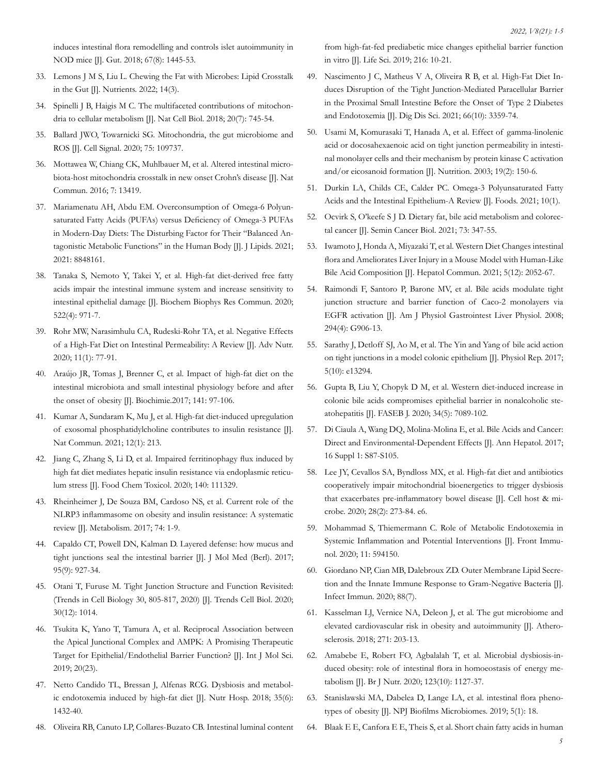[induces intestinal flora remodelling and controls islet autoimmunity in](https://pubmed.ncbi.nlm.nih.gov/29269438/)  NOD mice *[J]*. Gut. 2018; 67(8): 1445-53.

- 33. [Lemons J M S, Liu L. Chewing the Fat with Microbes: Lipid Crosstalk](https://www.ncbi.nlm.nih.gov/pmc/articles/PMC8840455/) [in the Gut \[J\]. Nutrients. 2022; 14\(3\).](https://www.ncbi.nlm.nih.gov/pmc/articles/PMC8840455/)
- 34. Spinelli J B, Haigis M C. The multifaceted contributions of mitochondria to cellular metabolism [J]. Nat Cell Biol. 2018; 20(7): 745-54.
- 35. [Ballard JWO, Towarnicki SG. Mitochondria, the gut microbiome and](https://pubmed.ncbi.nlm.nih.gov/32810578/) [ROS \[J\]. Cell Signal. 2020; 75: 109737.](https://pubmed.ncbi.nlm.nih.gov/32810578/)
- 36. [Mottawea W, Chiang CK, Muhlbauer M, et al. Altered intestinal micro](https://pubmed.ncbi.nlm.nih.gov/27876802/)[biota-host mitochondria crosstalk in new onset Crohn's disease \[J\]. Nat](https://pubmed.ncbi.nlm.nih.gov/27876802/) [Commun. 2016; 7: 13419.](https://pubmed.ncbi.nlm.nih.gov/27876802/)
- 37. [Mariamenatu AH, Abdu EM. Overconsumption of Omega-6 Polyun](https://pubmed.ncbi.nlm.nih.gov/33815845/)[saturated Fatty Acids \(PUFAs\) versus Deficiency of Omega-3 PUFAs](https://pubmed.ncbi.nlm.nih.gov/33815845/) [in Modern-Day Diets: The Disturbing Factor for Their "Balanced An](https://pubmed.ncbi.nlm.nih.gov/33815845/)[tagonistic Metabolic Functions" in the Human Body \[J\]. J Lipids. 2021;](https://pubmed.ncbi.nlm.nih.gov/33815845/) [2021: 8848161.](https://pubmed.ncbi.nlm.nih.gov/33815845/)
- 38. [Tanaka S, Nemoto Y, Takei Y, et al. High-fat diet-derived free fatty](https://pubmed.ncbi.nlm.nih.gov/31810607/) [acids impair the intestinal immune system and increase sensitivity to](https://pubmed.ncbi.nlm.nih.gov/31810607/)  [intestinal epithelial damage \[J\]. Biochem Biophys Res Commun. 2020;](https://pubmed.ncbi.nlm.nih.gov/31810607/) [522\(4\): 971-7.](https://pubmed.ncbi.nlm.nih.gov/31810607/)
- 39. [Rohr MW, Narasimhulu CA, Rudeski-Rohr TA, et al. Negative Effects](https://pubmed.ncbi.nlm.nih.gov/31268137/) [of a High-Fat Diet on Intestinal Permeability: A Review \[J\]. Adv Nutr.](https://pubmed.ncbi.nlm.nih.gov/31268137/)  [2020; 11\(1\): 77-91.](https://pubmed.ncbi.nlm.nih.gov/31268137/)
- 40. [Araújo JR, Tomas J, Brenner C, et al. Impact of high-fat diet on the](https://pubmed.ncbi.nlm.nih.gov/28571979/) [intestinal microbiota and small intestinal physiology before and after](https://pubmed.ncbi.nlm.nih.gov/28571979/)  [the onset of obesity \[J\]. Biochimie.2017; 141: 97-106.](https://pubmed.ncbi.nlm.nih.gov/28571979/)
- 41. [Kumar A, Sundaram K, Mu J, et al. High-fat diet-induced upregulation](https://pubmed.ncbi.nlm.nih.gov/33431899/)  [of exosomal phosphatidylcholine contributes to insulin resistance \[J\].](https://pubmed.ncbi.nlm.nih.gov/33431899/)  [Nat Commun. 2021; 12\(1\): 213.](https://pubmed.ncbi.nlm.nih.gov/33431899/)
- 42. [Jiang C, Zhang S, Li D, et al. Impaired ferritinophagy flux induced by](https://pubmed.ncbi.nlm.nih.gov/32283200/)  [high fat diet mediates hepatic insulin resistance via endoplasmic reticu](https://pubmed.ncbi.nlm.nih.gov/32283200/)[lum stress \[J\]. Food Chem Toxicol. 2020; 140: 111329.](https://pubmed.ncbi.nlm.nih.gov/32283200/)
- 43. [Rheinheimer J, De Souza BM, Cardoso NS, et al. Current role of the](https://pubmed.ncbi.nlm.nih.gov/28764843/) [NLRP3 inflammasome on obesity and insulin resistance: A systematic](https://pubmed.ncbi.nlm.nih.gov/28764843/) [review \[J\]. Metabolism. 2017; 74: 1-9.](https://pubmed.ncbi.nlm.nih.gov/28764843/)
- 44. [Capaldo CT, Powell DN, Kalman D. Layered defense: how mucus and](https://www.ncbi.nlm.nih.gov/pmc/articles/PMC5548832/)  [tight junctions seal the intestinal barrier \[J\]. J Mol Med \(Berl\). 2017;](https://www.ncbi.nlm.nih.gov/pmc/articles/PMC5548832/) [95\(9\): 927-34.](https://www.ncbi.nlm.nih.gov/pmc/articles/PMC5548832/)
- 45. [Otani T, Furuse M. Tight Junction Structure and Function Revisited:](https://pubmed.ncbi.nlm.nih.gov/33097373/) [\(Trends in Cell Biology 30, 805-817, 2020\) \[J\]. Trends Cell Biol. 2020;](https://pubmed.ncbi.nlm.nih.gov/33097373/) [30\(12\): 1014.](https://pubmed.ncbi.nlm.nih.gov/33097373/)
- 46. [Tsukita K, Yano T, Tamura A, et al. Reciprocal Association between](https://pubmed.ncbi.nlm.nih.gov/31795328/) [the Apical Junctional Complex and AMPK: A Promising Therapeutic](https://pubmed.ncbi.nlm.nih.gov/31795328/) [Target for Epithelial/Endothelial Barrier Function? \[J\]. Int J Mol Sci.](https://pubmed.ncbi.nlm.nih.gov/31795328/) [2019; 20\(23\).](https://pubmed.ncbi.nlm.nih.gov/31795328/)
- 47. [Netto Candido TL, Bressan J, Alfenas RCG. Dysbiosis and metabol](https://pubmed.ncbi.nlm.nih.gov/30525859/)[ic endotoxemia induced by high-fat diet \[J\]. Nutr Hosp. 2018; 35\(6\):](https://pubmed.ncbi.nlm.nih.gov/30525859/) [1432-40.](https://pubmed.ncbi.nlm.nih.gov/30525859/)
- 48. [Oliveira RB, Canuto LP, Collares-Buzato CB. Intestinal luminal content](https://pubmed.ncbi.nlm.nih.gov/30414427/)

[from high-fat-fed prediabetic mice changes epithelial barrier function](https://pubmed.ncbi.nlm.nih.gov/30414427/)  [in vitro \[J\]. Life Sci. 2019; 216: 10-21.](https://pubmed.ncbi.nlm.nih.gov/30414427/)

- 49. [Nascimento J C, Matheus V A, Oliveira R B, et al. High-Fat Diet In](https://pubmed.ncbi.nlm.nih.gov/33104937/)[duces Disruption of the Tight Junction-Mediated Paracellular Barrier](https://pubmed.ncbi.nlm.nih.gov/33104937/)  [in the Proximal Small Intestine Before the Onset of Type 2 Diabetes](https://pubmed.ncbi.nlm.nih.gov/33104937/) [and Endotoxemia \[J\]. Dig Dis Sci. 2021; 66\(10\): 3359-74.](https://pubmed.ncbi.nlm.nih.gov/33104937/)
- 50. [Usami M, Komurasaki T, Hanada A, et al. Effect of gamma-linolenic](https://pubmed.ncbi.nlm.nih.gov/12591548/)  [acid or docosahexaenoic acid on tight junction permeability in intesti](https://pubmed.ncbi.nlm.nih.gov/12591548/)[nal monolayer cells and their mechanism by protein kinase C activation](https://pubmed.ncbi.nlm.nih.gov/12591548/)  [and/or eicosanoid formation \[J\]. Nutrition. 2003; 19\(2\): 150-6.](https://pubmed.ncbi.nlm.nih.gov/12591548/)
- 51. [Durkin LA, Childs CE, Calder PC. Omega-3 Polyunsaturated Fatty](https://pubmed.ncbi.nlm.nih.gov/33478161/) [Acids and the Intestinal Epithelium-A Review \[J\]. Foods. 2021; 10\(1\).](https://pubmed.ncbi.nlm.nih.gov/33478161/)
- 52. [Ocvirk S, O'keefe S J D. Dietary fat, bile acid metabolism and colorec](https://pubmed.ncbi.nlm.nih.gov/33069873/)[tal cancer \[J\]. Semin Cancer Biol. 2021; 73: 347-55.](https://pubmed.ncbi.nlm.nih.gov/33069873/)
- 53. [Iwamoto J, Honda A, Miyazaki T, et al. Western Diet Changes intestinal](https://pubmed.ncbi.nlm.nih.gov/34558859/) [flora and Ameliorates Liver Injury in a Mouse Model with Human-Like](https://pubmed.ncbi.nlm.nih.gov/34558859/) [Bile Acid Composition \[J\]. Hepatol Commun. 2021; 5\(12\): 2052-67.](https://pubmed.ncbi.nlm.nih.gov/34558859/)
- 54. [Raimondi F, Santoro P, Barone MV, et al. Bile acids modulate tight](https://pubmed.ncbi.nlm.nih.gov/18239063/) [junction structure and barrier function of Caco-2 monolayers via](https://pubmed.ncbi.nlm.nih.gov/18239063/)  [EGFR activation \[J\]. Am J Physiol Gastrointest Liver Physiol. 2008;](https://pubmed.ncbi.nlm.nih.gov/18239063/) [294\(4\): G906-13.](https://pubmed.ncbi.nlm.nih.gov/18239063/)
- 55. [Sarathy J, Detloff SJ, Ao M, et al. The Yin and Yang of bile acid action](https://pubmed.ncbi.nlm.nih.gov/28554966/) [on tight junctions in a model colonic epithelium \[J\]. Physiol Rep. 2017;](https://pubmed.ncbi.nlm.nih.gov/28554966/) [5\(10\): e13294.](https://pubmed.ncbi.nlm.nih.gov/28554966/)
- 56. [Gupta B, Liu Y, Chopyk D M, et al. Western diet-induced increase in](https://pubmed.ncbi.nlm.nih.gov/32275114/)  [colonic bile acids compromises epithelial barrier in nonalcoholic ste](https://pubmed.ncbi.nlm.nih.gov/32275114/)[atohepatitis \[J\]. FASEB J. 2020; 34\(5\): 7089-102.](https://pubmed.ncbi.nlm.nih.gov/32275114/)
- 57. [Di Ciaula A, Wang DQ, Molina-Molina E, et al. Bile Acids and Cancer:](https://pubmed.ncbi.nlm.nih.gov/29080344/)  [Direct and Environmental-Dependent Effects \[J\]. Ann Hepatol. 2017;](https://pubmed.ncbi.nlm.nih.gov/29080344/) [16 Suppl 1: S87-S105.](https://pubmed.ncbi.nlm.nih.gov/29080344/)
- 58. [Lee JY, Cevallos SA, Byndloss MX, et al. High-fat diet and antibiotics](https://pubmed.ncbi.nlm.nih.gov/32668218/) [cooperatively impair mitochondrial bioenergetics to trigger dysbiosis](https://pubmed.ncbi.nlm.nih.gov/32668218/) [that exacerbates pre-inflammatory bowel disease \[J\]. Cell host & mi](https://pubmed.ncbi.nlm.nih.gov/32668218/)[crobe. 2020; 28\(2\): 273-84. e6.](https://pubmed.ncbi.nlm.nih.gov/32668218/)
- 59. [Mohammad S, Thiemermann C. Role of Metabolic Endotoxemia in](https://pubmed.ncbi.nlm.nih.gov/33505393/)  [Systemic Inflammation and Potential Interventions \[J\]. Front Immu](https://pubmed.ncbi.nlm.nih.gov/33505393/)[nol. 2020; 11: 594150.](https://pubmed.ncbi.nlm.nih.gov/33505393/)
- 60. [Giordano NP, Cian MB, Dalebroux ZD. Outer Membrane Lipid Secre](https://pubmed.ncbi.nlm.nih.gov/32253250/)[tion and the Innate Immune Response to Gram-Negative Bacteria \[J\].](https://pubmed.ncbi.nlm.nih.gov/32253250/)  [Infect Immun. 2020; 88\(7\).](https://pubmed.ncbi.nlm.nih.gov/32253250/)
- 61. [Kasselman LJ, Vernice NA, Deleon J, et al. The gut microbiome and](https://pubmed.ncbi.nlm.nih.gov/29524863/)  [elevated cardiovascular risk in obesity and autoimmunity \[J\]. Athero](https://pubmed.ncbi.nlm.nih.gov/29524863/)[sclerosis. 2018; 271: 203-13.](https://pubmed.ncbi.nlm.nih.gov/29524863/)
- 62. [Amabebe E, Robert FO, Agbalalah T, et al. Microbial dysbiosis-in](https://pubmed.ncbi.nlm.nih.gov/32008579/)[duced obesity: role of intestinal flora in homoeostasis of energy me](https://pubmed.ncbi.nlm.nih.gov/32008579/)[tabolism \[J\]. Br J Nutr. 2020; 123\(10\): 1127-37.](https://pubmed.ncbi.nlm.nih.gov/32008579/)
- 63. Stanislawski MA, Dabelea D, Lange LA, et al. intestinal flora phenotypes of obesity [J]. NPJ Biofilms Microbiomes. 2019; 5(1): 18.
- 64. [Blaak E E, Canfora E E, Theis S, et al. Short chain fatty acids in human](https://pubmed.ncbi.nlm.nih.gov/32865024/)